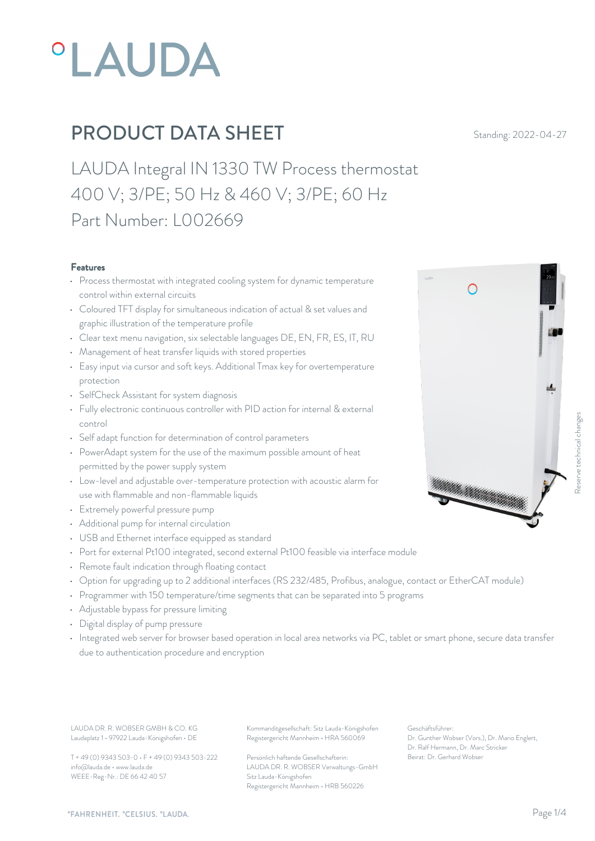

LAUDA Integral IN 1330 TW Process thermostat 400 V; 3/PE; 50 Hz & 460 V; 3/PE; 60 Hz Part Number: L002669

#### Features

- Process thermostat with integrated cooling system for dynamic temperature  $\bigcap$ control within external circuits
- Coloured TFT display for simultaneous indication of actual & set values and graphic illustration of the temperature profile
- Clear text menu navigation, six selectable languages DE, EN, FR, ES, IT, RU
- Management of heat transfer liquids with stored properties
- Easy input via cursor and soft keys. Additional Tmax key for overtemperature protection
- SelfCheck Assistant for system diagnosis
- Fully electronic continuous controller with PID action for internal & external control
- Self adapt function for determination of control parameters
- PowerAdapt system for the use of the maximum possible amount of heat permitted by the power supply system
- Low-level and adjustable over-temperature protection with acoustic alarm for<br>
and non-flammable liquids<br>
and non-flammable liquids<br>
and the liquids<br>
and the liquids<br>
and the liquids<br>
and the liquids<br>
and the liquids<br>
and use with flammable and non-flammable liquids
- Extremely powerful pressure pump
- Additional pump for internal circulation
- USB and Ethernet interface equipped as standard
- Port for external Pt100 integrated, second external Pt100 feasible via interface module
- Remote fault indication through floating contact
- Option for upgrading up to 2 additional interfaces (RS 232/485, Profibus, analogue, contact or EtherCAT module)
- Programmer with 150 temperature/time segments that can be separated into 5 programs
- Adjustable bypass for pressure limiting
- Digital display of pump pressure
- Integrated web server for browser based operation in local area networks via PC, tablet or smart phone, secure data transfer due to authentication procedure and encryption

LAUDA DR. R. WOBSER GMBH & CO. KG Kommanditgesellschaft: Sitz Lauda-Königshofen Geschäftsführer: Laudaplatz 1 • 97922 Lauda-Königshofen • DE

T + 49 (0) 9343 503-0 • F + 49 (0) 9343 503-222 info@lauda.de • www.lauda.de WEEE-Reg-Nr.: DE 66 42 40 57

Registergericht Mannheim • HRA 560069

Persönlich haftende Gesellschafterin: Beirat: Dr. Gerhard Wobs LAUDA DR. R. WOBSER Verwaltungs-GmbH Sitz Lauda-Königshofen Registergericht Mannheim • HRB 560226

Geschäftsführer: Dr. Gunther Wobser (Vors.), Dr. Mario Englert, Dr. Ralf Hermann, Dr. Marc Stricker Beschäftsführer:<br>Beischäftsführer:<br>Beischäftsführer:<br>Beischäftsführer:<br>Dr. Gunther Wobser (Vors.), Dr. Mario Englert,<br>De Talf Hermann, Dr. Mario Englert,<br>Beirat: Dr. Gerhard Wobser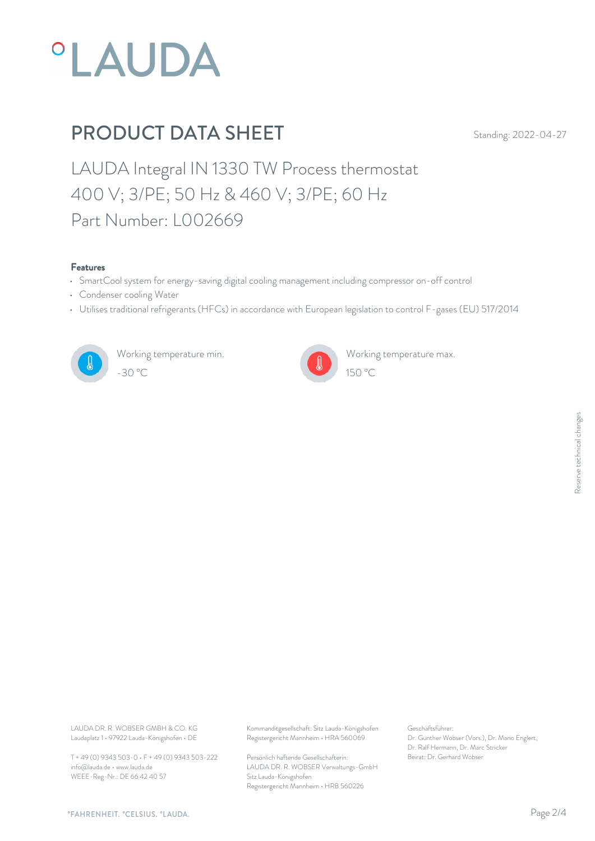

LAUDA Integral IN 1330 TW Process thermostat 400 V; 3/PE; 50 Hz & 460 V; 3/PE; 60 Hz Part Number: L002669

#### Features

- SmartCool system for energy-saving digital cooling management including compressor on-off control
- Condenser cooling Water
- Utilises traditional refrigerants (HFCs) in accordance with European legislation to control F-gases (EU) 517/2014



Working temperature min. -30 °C 150 °C



Working temperature max.

Laudaplatz 1 • 97922 Lauda-Königshofen • DE

T + 49 (0) 9343 503-0 • F + 49 (0) 9343 503-222 info@lauda.de • www.lauda.de WEEE-Reg-Nr.: DE 66 42 40 57

LAUDA DR. R. WOBSER GMBH & CO. KG Kommanditgesellschaft: Sitz Lauda-Königshofen Geschäftsführer: Registergericht Mannheim • HRA 560069

> Persönlich haftende Gesellschafterin: Beirat: Dr. Gerhard Wobse LAUDA DR. R. WOBSER Verwaltungs-GmbH Sitz Lauda-Königshofen Registergericht Mannheim • HRB 560226

Geschäftsführer: Dr. Gunther Wobser (Vors.), Dr. Mario Englert, Dr. Ralf Hermann, Dr. Marc Stricker Beschäftsführer:<br>Dr. Gunther Wobser (Vors.), Dr. Mario Englert,<br>Dr. Ralf Hermann, Dr. Marc Stricker<br>Beirat: Dr. Gerhard Wobser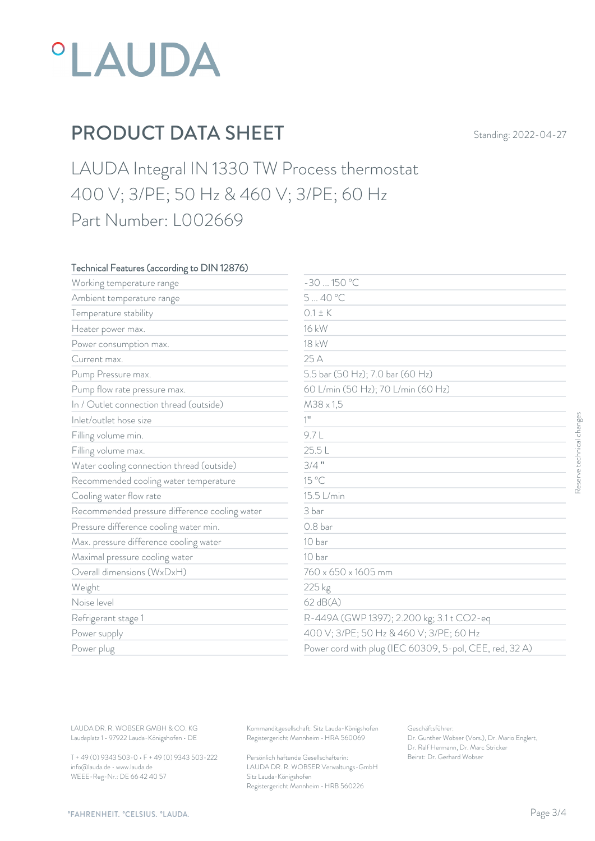

LAUDA Integral IN 1330 TW Process thermostat 400 V; 3/PE; 50 Hz & 460 V; 3/PE; 60 Hz Part Number: L002669

### Technical Features (according to DIN 12876)

| Working temperature range                     | $-30150 °C$                             |                                                         |
|-----------------------------------------------|-----------------------------------------|---------------------------------------------------------|
| Ambient temperature range                     | 540 °C                                  |                                                         |
| Temperature stability                         | $0.1 \pm K$                             |                                                         |
| Heater power max.                             | 16 kW                                   |                                                         |
| Power consumption max.                        | 18 kW                                   |                                                         |
| Current max.                                  | 25 A                                    |                                                         |
| Pump Pressure max.                            | 5.5 bar (50 Hz); 7.0 bar (60 Hz)        |                                                         |
| Pump flow rate pressure max.                  | 60 L/min (50 Hz); 70 L/min (60 Hz)      |                                                         |
| In / Outlet connection thread (outside)       | M38 x 1,5                               |                                                         |
| Inlet/outlet hose size                        | $1$ <sup>11</sup>                       |                                                         |
| Filling volume min.                           | 9.7L                                    |                                                         |
| Filling volume max.                           | 25.5L                                   |                                                         |
| Water cooling connection thread (outside)     | $3/4$ "                                 |                                                         |
| Recommended cooling water temperature         | 15 °C                                   |                                                         |
| Cooling water flow rate                       | 15.5 L/min                              |                                                         |
| Recommended pressure difference cooling water | 3 bar                                   |                                                         |
| Pressure difference cooling water min.        | 0.8 <sub>bar</sub>                      |                                                         |
| Max. pressure difference cooling water        | 10 bar                                  |                                                         |
| Maximal pressure cooling water                | 10 bar                                  |                                                         |
| Overall dimensions (WxDxH)                    | 760 x 650 x 1605 mm                     |                                                         |
| Weight                                        | 225 kg                                  |                                                         |
| Noise level                                   | 62 dB(A)                                |                                                         |
| Refrigerant stage 1                           |                                         | R-449A (GWP 1397); 2.200 kg; 3.1 t CO2-eq               |
| Power supply                                  | 400 V; 3/PE; 50 Hz & 460 V; 3/PE; 60 Hz |                                                         |
| Power plug                                    |                                         | Power cord with plug (IEC 60309, 5-pol, CEE, red, 32 A) |

T + 49 (0) 9343 503-0 • F + 49 (0) 9343 503-222 info@lauda.de • www.lauda.de WEEE-Reg-Nr.: DE 66 42 40 57

> Persönlich haftende Gesellschafterin: Beirat: Dr. Gerhard Wobse LAUDA DR. R. WOBSER Verwaltungs-GmbH Sitz Lauda-Königshofen Registergericht Mannheim • HRB 560226